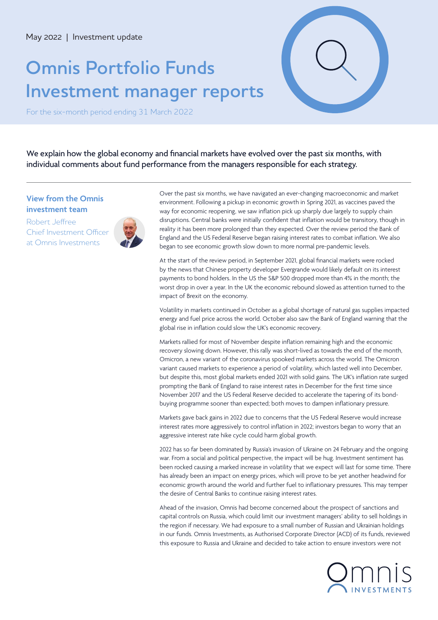# **Omnis Portfolio Funds Investment manager reports**



For the six-month period ending 31 March 2022

We explain how the global economy and financial markets have evolved over the past six months, with individual comments about fund performance from the managers responsible for each strategy.

### **View from the Omnis investment team**

Robert Jeffree Chief Investment Officer at Omnis Investments



Over the past six months, we have navigated an ever-changing macroeconomic and market environment. Following a pickup in economic growth in Spring 2021, as vaccines paved the way for economic reopening, we saw inflation pick up sharply due largely to supply chain disruptions. Central banks were initially confident that inflation would be transitory, though in reality it has been more prolonged than they expected. Over the review period the Bank of England and the US Federal Reserve began raising interest rates to combat inflation. We also began to see economic growth slow down to more normal pre-pandemic levels.

At the start of the review period, in September 2021, global financial markets were rocked by the news that Chinese property developer Evergrande would likely default on its interest payments to bond holders. In the US the S&P 500 dropped more than 4% in the month; the worst drop in over a year. In the UK the economic rebound slowed as attention turned to the impact of Brexit on the economy.

Volatility in markets continued in October as a global shortage of natural gas supplies impacted energy and fuel price across the world. October also saw the Bank of England warning that the global rise in inflation could slow the UK's economic recovery.

Markets rallied for most of November despite inflation remaining high and the economic recovery slowing down. However, this rally was short-lived as towards the end of the month, Omicron, a new variant of the coronavirus spooked markets across the world. The Omicron variant caused markets to experience a period of volatility, which lasted well into December, but despite this, most global markets ended 2021 with solid gains. The UK's inflation rate surged prompting the Bank of England to raise interest rates in December for the first time since November 2017 and the US Federal Reserve decided to accelerate the tapering of its bondbuying programme sooner than expected; both moves to dampen inflationary pressure.

Markets gave back gains in 2022 due to concerns that the US Federal Reserve would increase interest rates more aggressively to control inflation in 2022; investors began to worry that an aggressive interest rate hike cycle could harm global growth.

2022 has so far been dominated by Russia's invasion of Ukraine on 24 February and the ongoing war. From a social and political perspective, the impact will be hug. Investment sentiment has been rocked causing a marked increase in volatility that we expect will last for some time. There has already been an impact on energy prices, which will prove to be yet another headwind for economic growth around the world and further fuel to inflationary pressures. This may temper the desire of Central Banks to continue raising interest rates.

Ahead of the invasion, Omnis had become concerned about the prospect of sanctions and capital controls on Russia, which could limit our investment managers' ability to sell holdings in the region if necessary. We had exposure to a small number of Russian and Ukrainian holdings in our funds. Omnis Investments, as Authorised Corporate Director (ACD) of its funds, reviewed this exposure to Russia and Ukraine and decided to take action to ensure investors were not

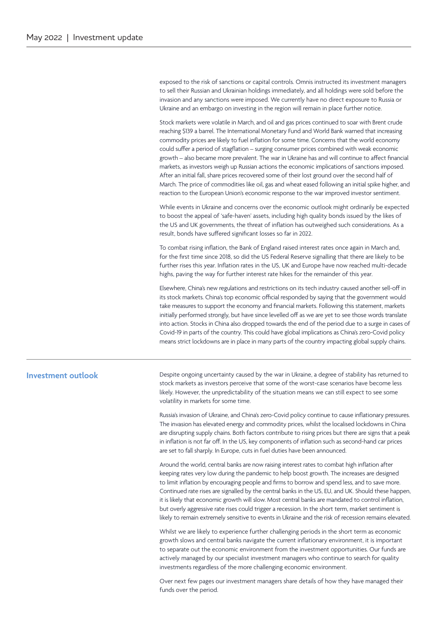exposed to the risk of sanctions or capital controls. Omnis instructed its investment managers to sell their Russian and Ukrainian holdings immediately, and all holdings were sold before the invasion and any sanctions were imposed. We currently have no direct exposure to Russia or Ukraine and an embargo on investing in the region will remain in place further notice.

Stock markets were volatile in March, and oil and gas prices continued to soar with Brent crude reaching \$139 a barrel. The International Monetary Fund and World Bank warned that increasing commodity prices are likely to fuel inflation for some time. Concerns that the world economy could suffer a period of stagflation – surging consumer prices combined with weak economic growth – also became more prevalent. The war in Ukraine has and will continue to affect financial markets, as investors weigh up Russian actions the economic implications of sanctions imposed. After an initial fall, share prices recovered some of their lost ground over the second half of March. The price of commodities like oil, gas and wheat eased following an initial spike higher, and reaction to the European Union's economic response to the war improved investor sentiment.

While events in Ukraine and concerns over the economic outlook might ordinarily be expected to boost the appeal of 'safe-haven' assets, including high quality bonds issued by the likes of the US and UK governments, the threat of inflation has outweighed such considerations. As a result, bonds have suffered significant losses so far in 2022.

To combat rising inflation, the Bank of England raised interest rates once again in March and, for the first time since 2018, so did the US Federal Reserve signalling that there are likely to be further rises this year. Inflation rates in the US, UK and Europe have now reached multi-decade highs, paving the way for further interest rate hikes for the remainder of this year.

Elsewhere, China's new regulations and restrictions on its tech industry caused another sell-off in its stock markets. China's top economic official responded by saying that the government would take measures to support the economy and financial markets. Following this statement, markets initially performed strongly, but have since levelled off as we are yet to see those words translate into action. Stocks in China also dropped towards the end of the period due to a surge in cases of Covid-19 in parts of the country. This could have global implications as China's zero-Covid policy means strict lockdowns are in place in many parts of the country impacting global supply chains.

### **Investment outlook**

Despite ongoing uncertainty caused by the war in Ukraine, a degree of stability has returned to stock markets as investors perceive that some of the worst-case scenarios have become less likely. However, the unpredictability of the situation means we can still expect to see some volatility in markets for some time.

Russia's invasion of Ukraine, and China's zero-Covid policy continue to cause inflationary pressures. The invasion has elevated energy and commodity prices, whilst the localised lockdowns in China are disrupting supply chains. Both factors contribute to rising prices but there are signs that a peak in inflation is not far off. In the US, key components of inflation such as second-hand car prices are set to fall sharply. In Europe, cuts in fuel duties have been announced.

Around the world, central banks are now raising interest rates to combat high inflation after keeping rates very low during the pandemic to help boost growth. The increases are designed to limit inflation by encouraging people and firms to borrow and spend less, and to save more. Continued rate rises are signalled by the central banks in the US, EU, and UK. Should these happen, it is likely that economic growth will slow. Most central banks are mandated to control inflation, but overly aggressive rate rises could trigger a recession. In the short term, market sentiment is likely to remain extremely sensitive to events in Ukraine and the risk of recession remains elevated.

Whilst we are likely to experience further challenging periods in the short term as economic growth slows and central banks navigate the current inflationary environment, it is important to separate out the economic environment from the investment opportunities. Our funds are actively managed by our specialist investment managers who continue to search for quality investments regardless of the more challenging economic environment.

Over next few pages our investment managers share details of how they have managed their funds over the period.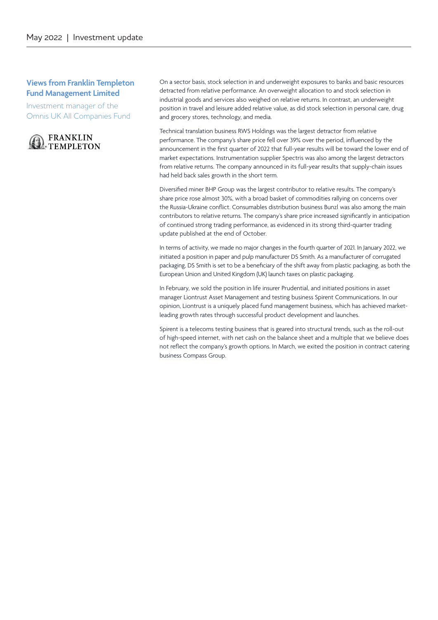### **Views from Franklin Templeton Fund Management Limited**

Investment manager of the Omnis UK All Companies Fund



On a sector basis, stock selection in and underweight exposures to banks and basic resources detracted from relative performance. An overweight allocation to and stock selection in industrial goods and services also weighed on relative returns. In contrast, an underweight position in travel and leisure added relative value, as did stock selection in personal care, drug and grocery stores, technology, and media.

Technical translation business RWS Holdings was the largest detractor from relative performance. The company's share price fell over 39% over the period, influenced by the announcement in the first quarter of 2022 that full-year results will be toward the lower end of market expectations. Instrumentation supplier Spectris was also among the largest detractors from relative returns. The company announced in its full-year results that supply-chain issues had held back sales growth in the short term.

Diversified miner BHP Group was the largest contributor to relative results. The company's share price rose almost 30%, with a broad basket of commodities rallying on concerns over the Russia-Ukraine conflict. Consumables distribution business Bunzl was also among the main contributors to relative returns. The company's share price increased significantly in anticipation of continued strong trading performance, as evidenced in its strong third-quarter trading update published at the end of October.

In terms of activity, we made no major changes in the fourth quarter of 2021. In January 2022, we initiated a position in paper and pulp manufacturer DS Smith. As a manufacturer of corrugated packaging, DS Smith is set to be a beneficiary of the shift away from plastic packaging, as both the European Union and United Kingdom (UK) launch taxes on plastic packaging.

In February, we sold the position in life insurer Prudential, and initiated positions in asset manager Liontrust Asset Management and testing business Spirent Communications. In our opinion, Liontrust is a uniquely placed fund management business, which has achieved marketleading growth rates through successful product development and launches.

Spirent is a telecoms testing business that is geared into structural trends, such as the roll-out of high-speed internet, with net cash on the balance sheet and a multiple that we believe does not reflect the company's growth options. In March, we exited the position in contract catering business Compass Group.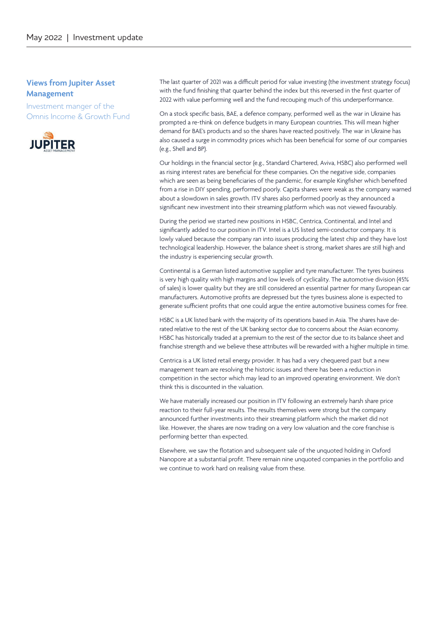### **Views from Jupiter Asset Management**

Investment manger of the Omnis Income & Growth Fund



The last quarter of 2021 was a difficult period for value investing (the investment strategy focus) with the fund finishing that quarter behind the index but this reversed in the first quarter of 2022 with value performing well and the fund recouping much of this underperformance.

On a stock specific basis, BAE, a defence company, performed well as the war in Ukraine has prompted a re-think on defence budgets in many European countries. This will mean higher demand for BAE's products and so the shares have reacted positively. The war in Ukraine has also caused a surge in commodity prices which has been beneficial for some of our companies (e.g., Shell and BP).

Our holdings in the financial sector (e.g., Standard Chartered, Aviva, HSBC) also performed well as rising interest rates are beneficial for these companies. On the negative side, companies which are seen as being beneficiaries of the pandemic, for example Kingfisher which benefited from a rise in DIY spending, performed poorly. Capita shares were weak as the company warned about a slowdown in sales growth. ITV shares also performed poorly as they announced a significant new investment into their streaming platform which was not viewed favourably.

During the period we started new positions in HSBC, Centrica, Continental, and Intel and significantly added to our position in ITV. Intel is a US listed semi-conductor company. It is lowly valued because the company ran into issues producing the latest chip and they have lost technological leadership. However, the balance sheet is strong, market shares are still high and the industry is experiencing secular growth.

Continental is a German listed automotive supplier and tyre manufacturer. The tyres business is very high quality with high margins and low levels of cyclicality. The automotive division (45% of sales) is lower quality but they are still considered an essential partner for many European car manufacturers. Automotive profits are depressed but the tyres business alone is expected to generate sufficient profits that one could argue the entire automotive business comes for free.

HSBC is a UK listed bank with the majority of its operations based in Asia. The shares have derated relative to the rest of the UK banking sector due to concerns about the Asian economy. HSBC has historically traded at a premium to the rest of the sector due to its balance sheet and franchise strength and we believe these attributes will be rewarded with a higher multiple in time.

Centrica is a UK listed retail energy provider. It has had a very chequered past but a new management team are resolving the historic issues and there has been a reduction in competition in the sector which may lead to an improved operating environment. We don't think this is discounted in the valuation.

We have materially increased our position in ITV following an extremely harsh share price reaction to their full-year results. The results themselves were strong but the company announced further investments into their streaming platform which the market did not like. However, the shares are now trading on a very low valuation and the core franchise is performing better than expected.

Elsewhere, we saw the flotation and subsequent sale of the unquoted holding in Oxford Nanopore at a substantial profit. There remain nine unquoted companies in the portfolio and we continue to work hard on realising value from these.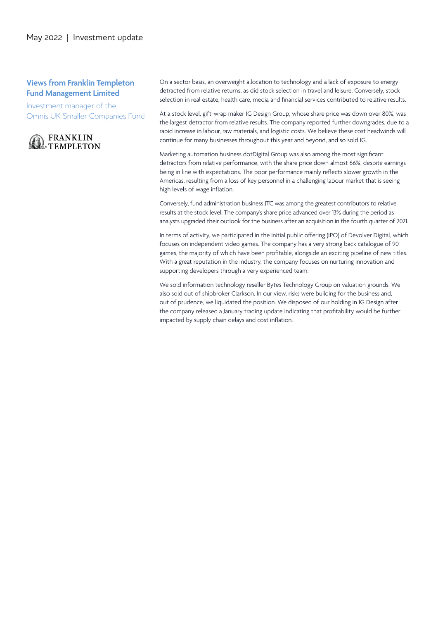### **Views from Franklin Templeton Fund Management Limited**

Investment manager of the Omnis UK Smaller Companies Fund



On a sector basis, an overweight allocation to technology and a lack of exposure to energy detracted from relative returns, as did stock selection in travel and leisure. Conversely, stock selection in real estate, health care, media and financial services contributed to relative results.

At a stock level, gift-wrap maker IG Design Group, whose share price was down over 80%, was the largest detractor from relative results. The company reported further downgrades, due to a rapid increase in labour, raw materials, and logistic costs. We believe these cost headwinds will continue for many businesses throughout this year and beyond, and so sold IG.

Marketing automation business dotDigital Group was also among the most significant detractors from relative performance, with the share price down almost 66%, despite earnings being in line with expectations. The poor performance mainly reflects slower growth in the Americas, resulting from a loss of key personnel in a challenging labour market that is seeing high levels of wage inflation.

Conversely, fund administration business JTC was among the greatest contributors to relative results at the stock level. The company's share price advanced over 13% during the period as analysts upgraded their outlook for the business after an acquisition in the fourth quarter of 2021.

In terms of activity, we participated in the initial public offering (IPO) of Devolver Digital, which focuses on independent video games. The company has a very strong back catalogue of 90 games, the majority of which have been profitable, alongside an exciting pipeline of new titles. With a great reputation in the industry, the company focuses on nurturing innovation and supporting developers through a very experienced team.

We sold information technology reseller Bytes Technology Group on valuation grounds. We also sold out of shipbroker Clarkson. In our view, risks were building for the business and, out of prudence, we liquidated the position. We disposed of our holding in IG Design after the company released a January trading update indicating that profitability would be further impacted by supply chain delays and cost inflation.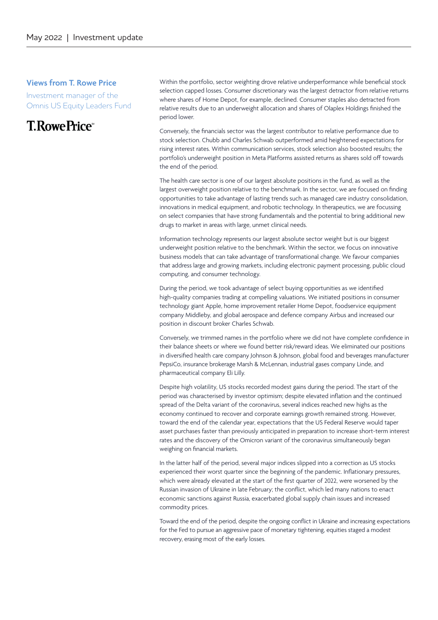### **Views from T. Rowe Price**

Investment manager of the Omnis US Equity Leaders Fund

# T. Rowe Price®

Within the portfolio, sector weighting drove relative underperformance while beneficial stock selection capped losses. Consumer discretionary was the largest detractor from relative returns where shares of Home Depot, for example, declined. Consumer staples also detracted from relative results due to an underweight allocation and shares of Olaplex Holdings finished the period lower.

Conversely, the financials sector was the largest contributor to relative performance due to stock selection. Chubb and Charles Schwab outperformed amid heightened expectations for rising interest rates. Within communication services, stock selection also boosted results; the portfolio's underweight position in Meta Platforms assisted returns as shares sold off towards the end of the period.

The health care sector is one of our largest absolute positions in the fund, as well as the largest overweight position relative to the benchmark. In the sector, we are focused on finding opportunities to take advantage of lasting trends such as managed care industry consolidation, innovations in medical equipment, and robotic technology. In therapeutics, we are focussing on select companies that have strong fundamentals and the potential to bring additional new drugs to market in areas with large, unmet clinical needs.

Information technology represents our largest absolute sector weight but is our biggest underweight position relative to the benchmark. Within the sector, we focus on innovative business models that can take advantage of transformational change. We favour companies that address large and growing markets, including electronic payment processing, public cloud computing, and consumer technology.

During the period, we took advantage of select buying opportunities as we identified high-quality companies trading at compelling valuations. We initiated positions in consumer technology giant Apple, home improvement retailer Home Depot, foodservice equipment company Middleby, and global aerospace and defence company Airbus and increased our position in discount broker Charles Schwab.

Conversely, we trimmed names in the portfolio where we did not have complete confidence in their balance sheets or where we found better risk/reward ideas. We eliminated our positions in diversified health care company Johnson & Johnson, global food and beverages manufacturer PepsiCo, insurance brokerage Marsh & McLennan, industrial gases company Linde, and pharmaceutical company Eli Lilly.

Despite high volatility, US stocks recorded modest gains during the period. The start of the period was characterised by investor optimism; despite elevated inflation and the continued spread of the Delta variant of the coronavirus, several indices reached new highs as the economy continued to recover and corporate earnings growth remained strong. However, toward the end of the calendar year, expectations that the US Federal Reserve would taper asset purchases faster than previously anticipated in preparation to increase short-term interest rates and the discovery of the Omicron variant of the coronavirus simultaneously began weighing on financial markets.

In the latter half of the period, several major indices slipped into a correction as US stocks experienced their worst quarter since the beginning of the pandemic. Inflationary pressures, which were already elevated at the start of the first quarter of 2022, were worsened by the Russian invasion of Ukraine in late February; the conflict, which led many nations to enact economic sanctions against Russia, exacerbated global supply chain issues and increased commodity prices.

Toward the end of the period, despite the ongoing conflict in Ukraine and increasing expectations for the Fed to pursue an aggressive pace of monetary tightening, equities staged a modest recovery, erasing most of the early losses.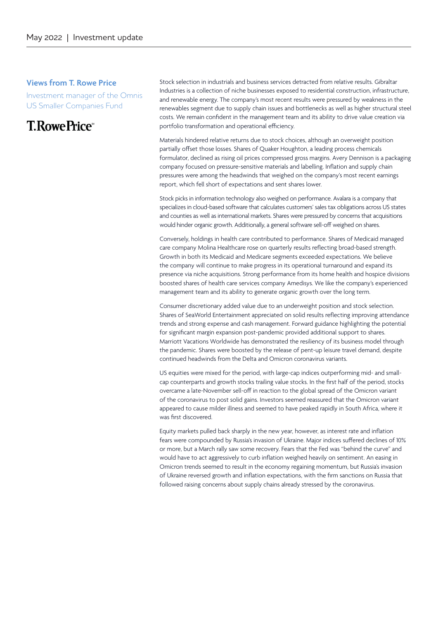#### **Views from T. Rowe Price**

Investment manager of the Omnis US Smaller Companies Fund

# **T.RowePrice**

Stock selection in industrials and business services detracted from relative results. Gibraltar Industries is a collection of niche businesses exposed to residential construction, infrastructure, and renewable energy. The company's most recent results were pressured by weakness in the renewables segment due to supply chain issues and bottlenecks as well as higher structural steel costs. We remain confident in the management team and its ability to drive value creation via portfolio transformation and operational efficiency.

Materials hindered relative returns due to stock choices, although an overweight position partially offset those losses. Shares of Quaker Houghton, a leading process chemicals formulator, declined as rising oil prices compressed gross margins. Avery Dennison is a packaging company focused on pressure-sensitive materials and labelling. Inflation and supply chain pressures were among the headwinds that weighed on the company's most recent earnings report, which fell short of expectations and sent shares lower.

Stock picks in information technology also weighed on performance. Avalara is a company that specializes in cloud-based software that calculates customers' sales tax obligations across US states and counties as well as international markets. Shares were pressured by concerns that acquisitions would hinder organic growth. Additionally, a general software sell-off weighed on shares.

Conversely, holdings in health care contributed to performance. Shares of Medicaid managed care company Molina Healthcare rose on quarterly results reflecting broad-based strength. Growth in both its Medicaid and Medicare segments exceeded expectations. We believe the company will continue to make progress in its operational turnaround and expand its presence via niche acquisitions. Strong performance from its home health and hospice divisions boosted shares of health care services company Amedisys. We like the company's experienced management team and its ability to generate organic growth over the long term.

Consumer discretionary added value due to an underweight position and stock selection. Shares of SeaWorld Entertainment appreciated on solid results reflecting improving attendance trends and strong expense and cash management. Forward guidance highlighting the potential for significant margin expansion post-pandemic provided additional support to shares. Marriott Vacations Worldwide has demonstrated the resiliency of its business model through the pandemic. Shares were boosted by the release of pent-up leisure travel demand, despite continued headwinds from the Delta and Omicron coronavirus variants.

US equities were mixed for the period, with large-cap indices outperforming mid- and smallcap counterparts and growth stocks trailing value stocks. In the first half of the period, stocks overcame a late-November sell-off in reaction to the global spread of the Omicron variant of the coronavirus to post solid gains. Investors seemed reassured that the Omicron variant appeared to cause milder illness and seemed to have peaked rapidly in South Africa, where it was first discovered.

Equity markets pulled back sharply in the new year, however, as interest rate and inflation fears were compounded by Russia's invasion of Ukraine. Major indices suffered declines of 10% or more, but a March rally saw some recovery. Fears that the Fed was "behind the curve" and would have to act aggressively to curb inflation weighed heavily on sentiment. An easing in Omicron trends seemed to result in the economy regaining momentum, but Russia's invasion of Ukraine reversed growth and inflation expectations, with the firm sanctions on Russia that followed raising concerns about supply chains already stressed by the coronavirus.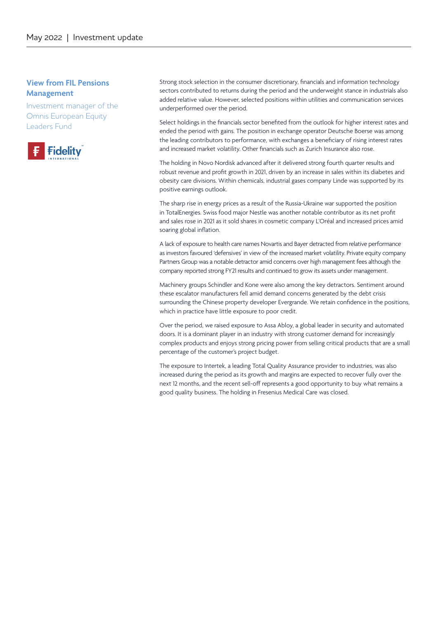### **View from FIL Pensions Management**

Investment manager of the Omnis European Equity Leaders Fund



Strong stock selection in the consumer discretionary, financials and information technology sectors contributed to returns during the period and the underweight stance in industrials also added relative value. However, selected positions within utilities and communication services underperformed over the period.

Select holdings in the financials sector benefited from the outlook for higher interest rates and ended the period with gains. The position in exchange operator Deutsche Boerse was among the leading contributors to performance, with exchanges a beneficiary of rising interest rates and increased market volatility. Other financials such as Zurich Insurance also rose.

The holding in Novo Nordisk advanced after it delivered strong fourth quarter results and robust revenue and profit growth in 2021, driven by an increase in sales within its diabetes and obesity care divisions. Within chemicals, industrial gases company Linde was supported by its positive earnings outlook.

The sharp rise in energy prices as a result of the Russia-Ukraine war supported the position in TotalEnergies. Swiss food major Nestle was another notable contributor as its net profit and sales rose in 2021 as it sold shares in cosmetic company L'Oréal and increased prices amid soaring global inflation.

A lack of exposure to health care names Novartis and Bayer detracted from relative performance as investors favoured 'defensives' in view of the increased market volatility. Private equity company Partners Group was a notable detractor amid concerns over high management fees although the company reported strong FY21 results and continued to grow its assets under management.

Machinery groups Schindler and Kone were also among the key detractors. Sentiment around these escalator manufacturers fell amid demand concerns generated by the debt crisis surrounding the Chinese property developer Evergrande. We retain confidence in the positions, which in practice have little exposure to poor credit.

Over the period, we raised exposure to Assa Abloy, a global leader in security and automated doors. It is a dominant player in an industry with strong customer demand for increasingly complex products and enjoys strong pricing power from selling critical products that are a small percentage of the customer's project budget.

The exposure to Intertek, a leading Total Quality Assurance provider to industries, was also increased during the period as its growth and margins are expected to recover fully over the next 12 months, and the recent sell-off represents a good opportunity to buy what remains a good quality business. The holding in Fresenius Medical Care was closed.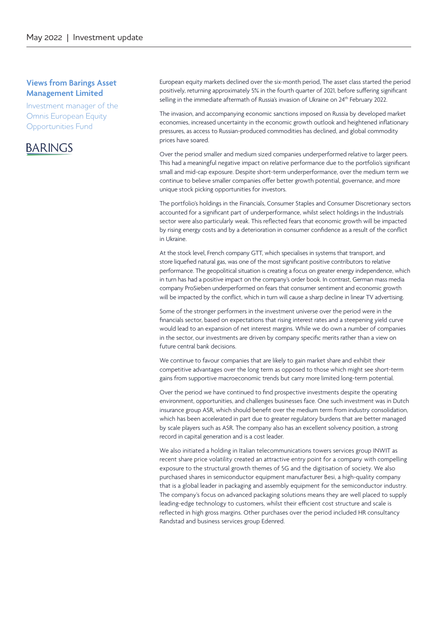### **Views from Barings Asset Management Limited**

Investment manager of the Omnis European Equity Opportunities Fund

### **BARINGS**

European equity markets declined over the six-month period, The asset class started the period positively, returning approximately 5% in the fourth quarter of 2021, before suffering significant selling in the immediate aftermath of Russia's invasion of Ukraine on 24<sup>th</sup> February 2022.

The invasion, and accompanying economic sanctions imposed on Russia by developed market economies, increased uncertainty in the economic growth outlook and heightened inflationary pressures, as access to Russian-produced commodities has declined, and global commodity prices have soared.

Over the period smaller and medium sized companies underperformed relative to larger peers. This had a meaningful negative impact on relative performance due to the portfolio's significant small and mid-cap exposure. Despite short-term underperformance, over the medium term we continue to believe smaller companies offer better growth potential, governance, and more unique stock picking opportunities for investors.

The portfolio's holdings in the Financials, Consumer Staples and Consumer Discretionary sectors accounted for a significant part of underperformance, whilst select holdings in the Industrials sector were also particularly weak. This reflected fears that economic growth will be impacted by rising energy costs and by a deterioration in consumer confidence as a result of the conflict in Ukraine.

At the stock level, French company GTT, which specialises in systems that transport, and store liquefied natural gas, was one of the most significant positive contributors to relative performance. The geopolitical situation is creating a focus on greater energy independence, which in turn has had a positive impact on the company's order book. In contrast, German mass media company ProSieben underperformed on fears that consumer sentiment and economic growth will be impacted by the conflict, which in turn will cause a sharp decline in linear TV advertising.

Some of the stronger performers in the investment universe over the period were in the financials sector, based on expectations that rising interest rates and a steepening yield curve would lead to an expansion of net interest margins. While we do own a number of companies in the sector, our investments are driven by company specific merits rather than a view on future central bank decisions.

We continue to favour companies that are likely to gain market share and exhibit their competitive advantages over the long term as opposed to those which might see short-term gains from supportive macroeconomic trends but carry more limited long-term potential.

Over the period we have continued to find prospective investments despite the operating environment, opportunities, and challenges businesses face. One such investment was in Dutch insurance group ASR, which should benefit over the medium term from industry consolidation, which has been accelerated in part due to greater regulatory burdens that are better managed by scale players such as ASR. The company also has an excellent solvency position, a strong record in capital generation and is a cost leader.

We also initiated a holding in Italian telecommunications towers services group INWIT as recent share price volatility created an attractive entry point for a company with compelling exposure to the structural growth themes of 5G and the digitisation of society. We also purchased shares in semiconductor equipment manufacturer Besi, a high-quality company that is a global leader in packaging and assembly equipment for the semiconductor industry. The company's focus on advanced packaging solutions means they are well placed to supply leading-edge technology to customers, whilst their efficient cost structure and scale is reflected in high gross margins. Other purchases over the period included HR consultancy Randstad and business services group Edenred.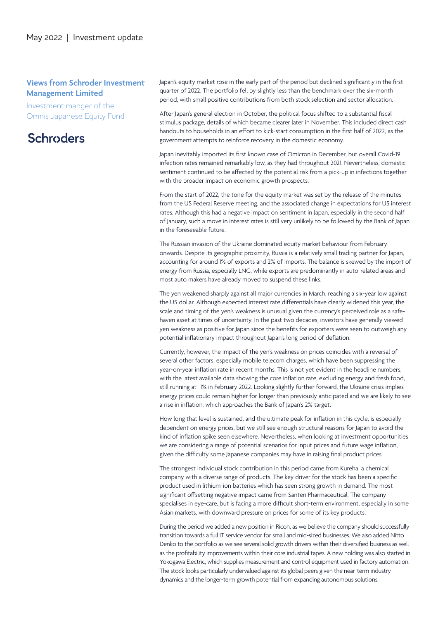### **Views from Schroder Investment Management Limited**

Investment manger of the Omnis Japanese Equity Fund

### **Schroders**

Japan's equity market rose in the early part of the period but declined significantly in the first quarter of 2022. The portfolio fell by slightly less than the benchmark over the six-month period, with small positive contributions from both stock selection and sector allocation.

After Japan's general election in October, the political focus shifted to a substantial fiscal stimulus package, details of which became clearer later in November. This included direct cash handouts to households in an effort to kick-start consumption in the first half of 2022, as the government attempts to reinforce recovery in the domestic economy.

Japan inevitably imported its first known case of Omicron in December, but overall Covid-19 infection rates remained remarkably low, as they had throughout 2021. Nevertheless, domestic sentiment continued to be affected by the potential risk from a pick-up in infections together with the broader impact on economic growth prospects.

From the start of 2022, the tone for the equity market was set by the release of the minutes from the US Federal Reserve meeting, and the associated change in expectations for US interest rates. Although this had a negative impact on sentiment in Japan, especially in the second half of January, such a move in interest rates is still very unlikely to be followed by the Bank of Japan in the foreseeable future.

The Russian invasion of the Ukraine dominated equity market behaviour from February onwards. Despite its geographic proximity, Russia is a relatively small trading partner for Japan, accounting for around 1% of exports and 2% of imports. The balance is skewed by the import of energy from Russia, especially LNG, while exports are predominantly in auto-related areas and most auto makers have already moved to suspend these links.

The yen weakened sharply against all major currencies in March, reaching a six-year low against the US dollar. Although expected interest rate differentials have clearly widened this year, the scale and timing of the yen's weakness is unusual given the currency's perceived role as a safehaven asset at times of uncertainty. In the past two decades, investors have generally viewed yen weakness as positive for Japan since the benefits for exporters were seen to outweigh any potential inflationary impact throughout Japan's long period of deflation.

Currently, however, the impact of the yen's weakness on prices coincides with a reversal of several other factors, especially mobile telecom charges, which have been suppressing the year-on-year inflation rate in recent months. This is not yet evident in the headline numbers, with the latest available data showing the core inflation rate, excluding energy and fresh food, still running at -1% in February 2022. Looking slightly further forward, the Ukraine crisis implies energy prices could remain higher for longer than previously anticipated and we are likely to see a rise in inflation, which approaches the Bank of Japan's 2% target.

How long that level is sustained, and the ultimate peak for inflation in this cycle, is especially dependent on energy prices, but we still see enough structural reasons for Japan to avoid the kind of inflation spike seen elsewhere. Nevertheless, when looking at investment opportunities we are considering a range of potential scenarios for input prices and future wage inflation, given the difficulty some Japanese companies may have in raising final product prices.

The strongest individual stock contribution in this period came from Kureha, a chemical company with a diverse range of products. The key driver for the stock has been a specific product used in lithium-ion batteries which has seen strong growth in demand. The most significant offsetting negative impact came from Santen Pharmaceutical. The company specialises in eye-care, but is facing a more difficult short-term environment, especially in some Asian markets, with downward pressure on prices for some of its key products.

During the period we added a new position in Ricoh, as we believe the company should successfully transition towards a full IT service vendor for small and mid-sized businesses. We also added Nitto Denko to the portfolio as we see several solid growth drivers within their diversified business as well as the profitability improvements within their core industrial tapes. A new holding was also started in Yokogawa Electric, which supplies measurement and control equipment used in factory automation. The stock looks particularly undervalued against its global peers given the near-term industry dynamics and the longer-term growth potential from expanding autonomous solutions.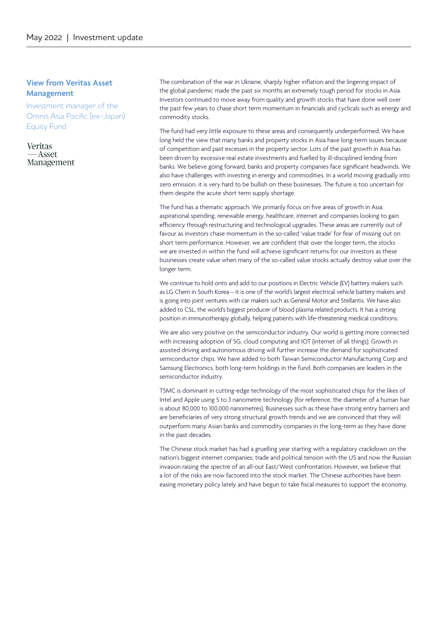### **View from Veritas Asset Management**

Investment manager of the Omnis Asia Pacific (ex-Japan) Equity Fund

**Veritas** -Asset Management The combination of the war in Ukraine, sharply higher inflation and the lingering impact of the global pandemic made the past six months an extremely tough period for stocks in Asia. Investors continued to move away from quality and growth stocks that have done well over the past few years to chase short term momentum in financials and cyclicals such as energy and commodity stocks.

The fund had very little exposure to these areas and consequently underperformed. We have long held the view that many banks and property stocks in Asia have long-term issues because of competition and past excesses in the property sector. Lots of the past growth in Asia has been driven by excessive real estate investments and fuelled by ill-disciplined lending from banks. We believe going forward, banks and property companies face significant headwinds. We also have challenges with investing in energy and commodities. In a world moving gradually into zero emission, it is very hard to be bullish on these businesses. The future is too uncertain for them despite the acute short term supply shortage.

The fund has a thematic approach. We primarily focus on five areas of growth in Asia: aspirational spending, renewable energy, healthcare, internet and companies looking to gain efficiency through restructuring and technological upgrades. These areas are currently out of favour as investors chase momentum in the so-called 'value trade' for fear of missing out on short term performance. However, we are confident that over the longer term, the stocks we are invested in within the fund will achieve significant returns for our investors as these businesses create value when many of the so-called value stocks actually destroy value over the longer term.

We continue to hold onto and add to our positions in Electric Vehicle (EV) battery makers such as LG Chem in South Korea – it is one of the world's largest electrical vehicle battery makers and is going into joint ventures with car makers such as General Motor and Stellantis. We have also added to CSL, the world's biggest producer of blood plasma related products. It has a strong position in immunotherapy globally, helping patients with life-threatening medical conditions.

We are also very positive on the semiconductor industry. Our world is getting more connected with increasing adoption of 5G, cloud computing and IOT (internet of all things). Growth in assisted driving and autonomous driving will further increase the demand for sophisticated semiconductor chips. We have added to both Taiwan Semiconductor Manufacturing Corp and Samsung Electronics, both long-term holdings in the fund. Both companies are leaders in the semiconductor industry.

TSMC is dominant in cutting-edge technology of the most sophisticated chips for the likes of Intel and Apple using 5 to 3 nanometre technology (for reference, the diameter of a human hair is about 80,000 to 100,000 nanometres). Businesses such as these have strong entry barriers and are beneficiaries of very strong structural growth trends and we are convinced that they will outperform many Asian banks and commodity companies in the long-term as they have done in the past decades.

The Chinese stock market has had a gruelling year starting with a regulatory crackdown on the nation's biggest internet companies; trade and political tension with the US and now the Russian invasion raising the spectre of an all-out East/West confrontation. However, we believe that a lot of the risks are now factored into the stock market. The Chinese authorities have been easing monetary policy lately and have begun to take fiscal measures to support the economy.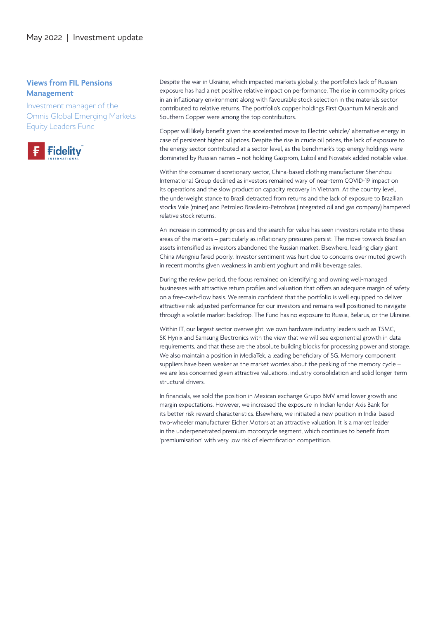### **Views from FIL Pensions Management**

Investment manager of the Omnis Global Emerging Markets Equity Leaders Fund



Despite the war in Ukraine, which impacted markets globally, the portfolio's lack of Russian exposure has had a net positive relative impact on performance. The rise in commodity prices in an inflationary environment along with favourable stock selection in the materials sector contributed to relative returns. The portfolio's copper holdings First Quantum Minerals and Southern Copper were among the top contributors.

Copper will likely benefit given the accelerated move to Electric vehicle/ alternative energy in case of persistent higher oil prices. Despite the rise in crude oil prices, the lack of exposure to the energy sector contributed at a sector level, as the benchmark's top energy holdings were dominated by Russian names – not holding Gazprom, Lukoil and Novatek added notable value.

Within the consumer discretionary sector, China-based clothing manufacturer Shenzhou International Group declined as investors remained wary of near-term COVID-19 impact on its operations and the slow production capacity recovery in Vietnam. At the country level, the underweight stance to Brazil detracted from returns and the lack of exposure to Brazilian stocks Vale (miner) and Petroleo Brasileiro-Petrobras (integrated oil and gas company) hampered relative stock returns.

An increase in commodity prices and the search for value has seen investors rotate into these areas of the markets – particularly as inflationary pressures persist. The move towards Brazilian assets intensified as investors abandoned the Russian market. Elsewhere, leading diary giant China Mengniu fared poorly. Investor sentiment was hurt due to concerns over muted growth in recent months given weakness in ambient yoghurt and milk beverage sales.

During the review period, the focus remained on identifying and owning well-managed businesses with attractive return profiles and valuation that offers an adequate margin of safety on a free-cash-flow basis. We remain confident that the portfolio is well equipped to deliver attractive risk-adjusted performance for our investors and remains well positioned to navigate through a volatile market backdrop. The Fund has no exposure to Russia, Belarus, or the Ukraine.

Within IT, our largest sector overweight, we own hardware industry leaders such as TSMC, SK Hynix and Samsung Electronics with the view that we will see exponential growth in data requirements, and that these are the absolute building blocks for processing power and storage. We also maintain a position in MediaTek, a leading beneficiary of 5G. Memory component suppliers have been weaker as the market worries about the peaking of the memory cycle – we are less concerned given attractive valuations, industry consolidation and solid longer-term structural drivers.

In financials, we sold the position in Mexican exchange Grupo BMV amid lower growth and margin expectations. However, we increased the exposure in Indian lender Axis Bank for its better risk-reward characteristics. Elsewhere, we initiated a new position in India-based two-wheeler manufacturer Eicher Motors at an attractive valuation. It is a market leader in the underpenetrated premium motorcycle segment, which continues to benefit from 'premiumisation' with very low risk of electrification competition.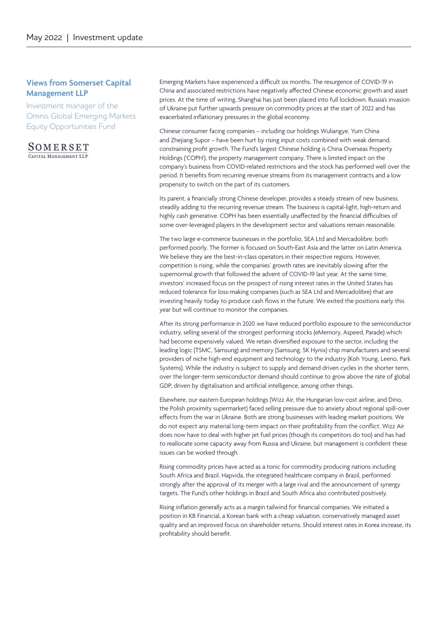### **Views from Somerset Capital Management LLP**

Investment manager of the Omnis Global Emerging Markets Equity Opportunities Fund

SOMERSET CAPITAL MANAGEMENT LLP

Emerging Markets have experienced a difficult six months. The resurgence of COVID-19 in China and associated restrictions have negatively affected Chinese economic growth and asset prices. At the time of writing, Shanghai has just been placed into full lockdown. Russia's invasion of Ukraine put further upwards pressure on commodity prices at the start of 2022 and has exacerbated inflationary pressures in the global economy.

Chinese consumer facing companies – including our holdings Wuliangye, Yum China and Zhejiang Supor – have been hurt by rising input costs combined with weak demand, constraining profit growth. The Fund's largest Chinese holding is China Overseas Property Holdings ('COPH'), the property management company. There is limited impact on the company's business from COVID-related restrictions and the stock has performed well over the period. It benefits from recurring revenue streams from its management contracts and a low propensity to switch on the part of its customers.

Its parent, a financially strong Chinese developer, provides a steady stream of new business, steadily adding to the recurring revenue stream. The business is capital-light, high-return and highly cash generative. COPH has been essentially unaffected by the financial difficulties of some over-leveraged players in the development sector and valuations remain reasonable.

The two large e-commerce businesses in the portfolio, SEA Ltd and Mercadolibre, both performed poorly. The former is focused on South-East Asia and the latter on Latin America. We believe they are the best-in-class operators in their respective regions. However, competition is rising, while the companies' growth rates are inevitably slowing after the supernormal growth that followed the advent of COVID-19 last year. At the same time, investors' increased focus on the prospect of rising interest rates in the United States has reduced tolerance for loss-making companies (such as SEA Ltd and Mercadolibre) that are investing heavily today to produce cash flows in the future. We exited the positions early this year but will continue to monitor the companies.

After its strong performance in 2020 we have reduced portfolio exposure to the semiconductor industry, selling several of the strongest performing stocks (eMemory, Aspeed, Parade) which had become expensively valued. We retain diversified exposure to the sector, including the leading logic (TSMC, Samsung) and memory (Samsung, SK Hynix) chip manufacturers and several providers of niche high-end equipment and technology to the industry (Koh Young, Leeno, Park Systems). While the industry is subject to supply and demand driven cycles in the shorter term, over the longer-term semiconductor demand should continue to grow above the rate of global GDP, driven by digitalisation and artificial intelligence, among other things.

Elsewhere, our eastern European holdings (Wizz Air, the Hungarian low-cost airline, and Dino, the Polish proximity supermarket) faced selling pressure due to anxiety about regional spill-over effects from the war in Ukraine. Both are strong businesses with leading market positions. We do not expect any material long-term impact on their profitability from the conflict. Wizz Air does now have to deal with higher jet fuel prices (though its competitors do too) and has had to reallocate some capacity away from Russia and Ukraine, but management is confident these issues can be worked through.

Rising commodity prices have acted as a tonic for commodity producing nations including South Africa and Brazil. Hapvida, the integrated healthcare company in Brazil, performed strongly after the approval of its merger with a large rival and the announcement of synergy targets. The Fund's other holdings in Brazil and South Africa also contributed positively.

Rising inflation generally acts as a margin tailwind for financial companies. We initiated a position in KB Financial, a Korean bank with a cheap valuation, conservatively managed asset quality and an improved focus on shareholder returns. Should interest rates in Korea increase, its profitability should benefit.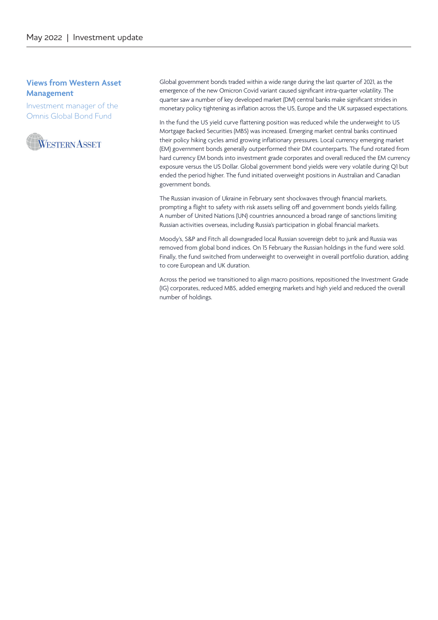### **Views from Western Asset Management**

Investment manager of the Omnis Global Bond Fund



Global government bonds traded within a wide range during the last quarter of 2021, as the emergence of the new Omicron Covid variant caused significant intra-quarter volatility. The quarter saw a number of key developed market (DM) central banks make significant strides in monetary policy tightening as inflation across the US, Europe and the UK surpassed expectations.

In the fund the US yield curve flattening position was reduced while the underweight to US Mortgage Backed Securities (MBS) was increased. Emerging market central banks continued their policy hiking cycles amid growing inflationary pressures. Local currency emerging market (EM) government bonds generally outperformed their DM counterparts. The fund rotated from hard currency EM bonds into investment grade corporates and overall reduced the EM currency exposure versus the US Dollar. Global government bond yields were very volatile during Q1 but ended the period higher. The fund initiated overweight positions in Australian and Canadian government bonds.

The Russian invasion of Ukraine in February sent shockwaves through financial markets, prompting a flight to safety with risk assets selling off and government bonds yields falling. A number of United Nations (UN) countries announced a broad range of sanctions limiting Russian activities overseas, including Russia's participation in global financial markets.

Moody's, S&P and Fitch all downgraded local Russian sovereign debt to junk and Russia was removed from global bond indices. On 15 February the Russian holdings in the fund were sold. Finally, the fund switched from underweight to overweight in overall portfolio duration, adding to core European and UK duration.

Across the period we transitioned to align macro positions, repositioned the Investment Grade (IG) corporates, reduced MBS, added emerging markets and high yield and reduced the overall number of holdings.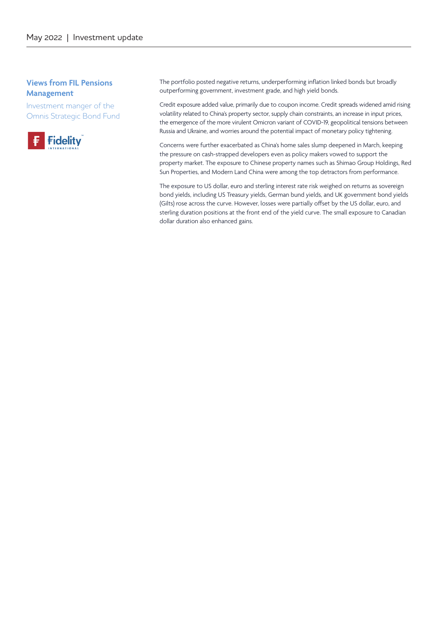### **Views from FIL Pensions Management**

Investment manger of the Omnis Strategic Bond Fund



The portfolio posted negative returns, underperforming inflation linked bonds but broadly outperforming government, investment grade, and high yield bonds.

Credit exposure added value, primarily due to coupon income. Credit spreads widened amid rising volatility related to China's property sector, supply chain constraints, an increase in input prices, the emergence of the more virulent Omicron variant of COVID-19, geopolitical tensions between Russia and Ukraine, and worries around the potential impact of monetary policy tightening.

Concerns were further exacerbated as China's home sales slump deepened in March, keeping the pressure on cash-strapped developers even as policy makers vowed to support the property market. The exposure to Chinese property names such as Shimao Group Holdings, Red Sun Properties, and Modern Land China were among the top detractors from performance.

The exposure to US dollar, euro and sterling interest rate risk weighed on returns as sovereign bond yields, including US Treasury yields, German bund yields, and UK government bond yields (Gilts) rose across the curve. However, losses were partially offset by the US dollar, euro, and sterling duration positions at the front end of the yield curve. The small exposure to Canadian dollar duration also enhanced gains.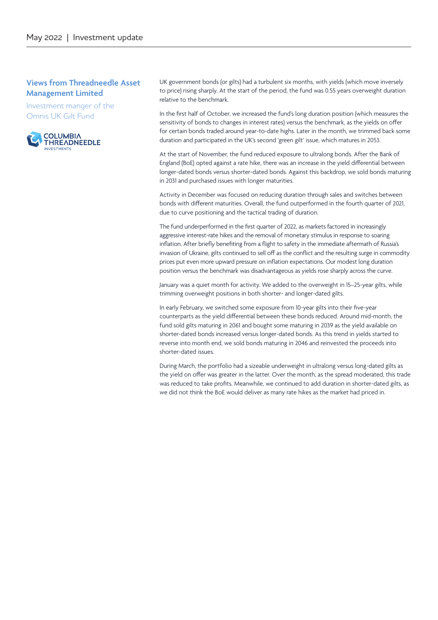### **Views from Threadneedle Asset Management Limited**

Investment manger of the Omnis UK Gilt Fund



UK government bonds (or gilts) had a turbulent six months, with yields (which move inversely to price) rising sharply. At the start of the period, the fund was 0.55 years overweight duration relative to the benchmark.

In the first half of October, we increased the fund's long duration position (which measures the sensitivity of bonds to changes in interest rates) versus the benchmark, as the yields on offer for certain bonds traded around year-to-date highs. Later in the month, we trimmed back some duration and participated in the UK's second 'green gilt' issue, which matures in 2053.

At the start of November, the fund reduced exposure to ultralong bonds. After the Bank of England (BoE) opted against a rate hike, there was an increase in the yield differential between longer-dated bonds versus shorter-dated bonds. Against this backdrop, we sold bonds maturing in 2031 and purchased issues with longer maturities.

Activity in December was focused on reducing duration through sales and switches between bonds with different maturities. Overall, the fund outperformed in the fourth quarter of 2021, due to curve positioning and the tactical trading of duration.

The fund underperformed in the first quarter of 2022, as markets factored in increasingly aggressive interest-rate hikes and the removal of monetary stimulus in response to soaring inflation. After briefly benefiting from a flight to safety in the immediate aftermath of Russia's invasion of Ukraine, gilts continued to sell off as the conflict and the resulting surge in commodity prices put even more upward pressure on inflation expectations. Our modest long duration position versus the benchmark was disadvantageous as yields rose sharply across the curve.

January was a quiet month for activity. We added to the overweight in 15–25-year gilts, while trimming overweight positions in both shorter- and longer-dated gilts.

In early February, we switched some exposure from 10-year gilts into their five-year counterparts as the yield differential between these bonds reduced. Around mid-month, the fund sold gilts maturing in 2061 and bought some maturing in 2039 as the yield available on shorter-dated bonds increased versus longer-dated bonds. As this trend in yields started to reverse into month end, we sold bonds maturing in 2046 and reinvested the proceeds into shorter-dated issues.

During March, the portfolio had a sizeable underweight in ultralong versus long-dated gilts as the yield on offer was greater in the latter. Over the month, as the spread moderated, this trade was reduced to take profits. Meanwhile, we continued to add duration in shorter-dated gilts, as we did not think the BoE would deliver as many rate hikes as the market had priced in.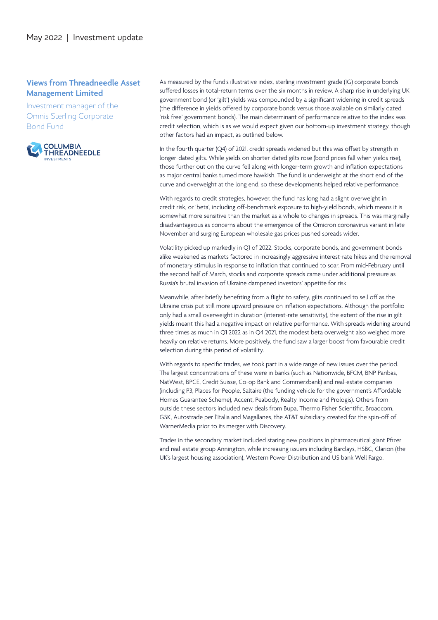### **Views from Threadneedle Asset Management Limited**

Investment manager of the Omnis Sterling Corporate Bond Fund



As measured by the fund's illustrative index, sterling investment-grade (IG) corporate bonds suffered losses in total-return terms over the six months in review. A sharp rise in underlying UK government bond (or 'gilt') yields was compounded by a significant widening in credit spreads (the difference in yields offered by corporate bonds versus those available on similarly dated 'risk free' government bonds). The main determinant of performance relative to the index was credit selection, which is as we would expect given our bottom-up investment strategy, though other factors had an impact, as outlined below.

In the fourth quarter (Q4) of 2021, credit spreads widened but this was offset by strength in longer-dated gilts. While yields on shorter-dated gilts rose (bond prices fall when yields rise), those further out on the curve fell along with longer-term growth and inflation expectations as major central banks turned more hawkish. The fund is underweight at the short end of the curve and overweight at the long end, so these developments helped relative performance.

With regards to credit strategies, however, the fund has long had a slight overweight in credit risk, or 'beta', including off-benchmark exposure to high-yield bonds, which means it is somewhat more sensitive than the market as a whole to changes in spreads. This was marginally disadvantageous as concerns about the emergence of the Omicron coronavirus variant in late November and surging European wholesale gas prices pushed spreads wider.

Volatility picked up markedly in Q1 of 2022. Stocks, corporate bonds, and government bonds alike weakened as markets factored in increasingly aggressive interest-rate hikes and the removal of monetary stimulus in response to inflation that continued to soar. From mid-February until the second half of March, stocks and corporate spreads came under additional pressure as Russia's brutal invasion of Ukraine dampened investors' appetite for risk.

Meanwhile, after briefly benefiting from a flight to safety, gilts continued to sell off as the Ukraine crisis put still more upward pressure on inflation expectations. Although the portfolio only had a small overweight in duration (interest-rate sensitivity), the extent of the rise in gilt yields meant this had a negative impact on relative performance. With spreads widening around three times as much in Q1 2022 as in Q4 2021, the modest beta overweight also weighed more heavily on relative returns. More positively, the fund saw a larger boost from favourable credit selection during this period of volatility.

With regards to specific trades, we took part in a wide range of new issues over the period. The largest concentrations of these were in banks (such as Nationwide, BFCM, BNP Paribas, NatWest, BPCE, Credit Suisse, Co-op Bank and Commerzbank) and real-estate companies (including P3, Places for People, Saltaire (the funding vehicle for the government's Affordable Homes Guarantee Scheme), Accent, Peabody, Realty Income and Prologis). Others from outside these sectors included new deals from Bupa, Thermo Fisher Scientific, Broadcom, GSK, Autostrade per l'Italia and Magallanes, the AT&T subsidiary created for the spin-off of WarnerMedia prior to its merger with Discovery.

Trades in the secondary market included staring new positions in pharmaceutical giant Pfizer and real-estate group Annington, while increasing issuers including Barclays, HSBC, Clarion (the UK's largest housing association), Western Power Distribution and US bank Well Fargo.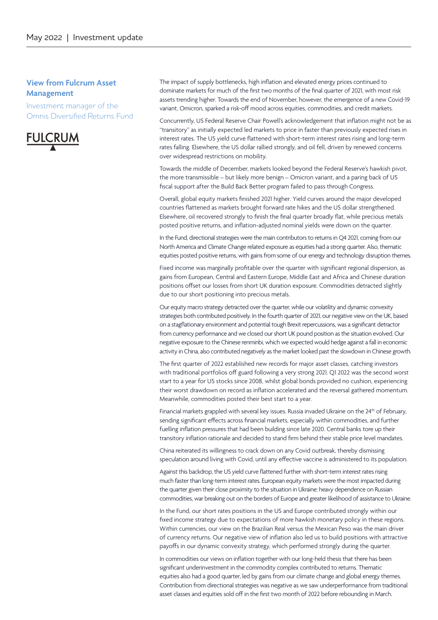### **View from Fulcrum Asset Management**

Investment manager of the Omnis Diversified Returns Fund



The impact of supply bottlenecks, high inflation and elevated energy prices continued to dominate markets for much of the first two months of the final quarter of 2021, with most risk assets trending higher. Towards the end of November, however, the emergence of a new Covid-19 variant, Omicron, sparked a risk-off mood across equities, commodities, and credit markets.

Concurrently, US Federal Reserve Chair Powell's acknowledgement that inflation might not be as "transitory" as initially expected led markets to price in faster than previously expected rises in interest rates. The US yield curve flattened with short-term interest rates rising and long-term rates falling. Elsewhere, the US dollar rallied strongly, and oil fell, driven by renewed concerns over widespread restrictions on mobility.

Towards the middle of December, markets looked beyond the Federal Reserve's hawkish pivot, the more transmissible – but likely more benign – Omicron variant, and a paring back of US fiscal support after the Build Back Better program failed to pass through Congress.

Overall, global equity markets finished 2021 higher. Yield curves around the major developed countries flattened as markets brought forward rate hikes and the US dollar strengthened. Elsewhere, oil recovered strongly to finish the final quarter broadly flat, while precious metals posted positive returns, and inflation-adjusted nominal yields were down on the quarter.

In the Fund, directional strategies were the main contributors to returns in Q4 2021, coming from our North America and Climate Change related exposure as equities had a strong quarter. Also, thematic equities posted positive returns, with gains from some of our energy and technology disruption themes.

Fixed income was marginally profitable over the quarter with significant regional dispersion, as gains from European, Central and Eastern Europe, Middle East and Africa and Chinese duration positions offset our losses from short UK duration exposure. Commodities detracted slightly due to our short positioning into precious metals.

Our equity macro strategy detracted over the quarter, while our volatility and dynamic convexity strategies both contributed positively. In the fourth quarter of 2021, our negative view on the UK, based on a stagflationary environment and potential tough Brexit repercussions, was a significant detractor from currency performance and we closed our short UK pound position as the situation evolved. Our negative exposure to the Chinese renminbi, which we expected would hedge against a fall in economic activity in China, also contributed negatively as the market looked past the slowdown in Chinese growth.

The first quarter of 2022 established new records for major asset classes, catching investors with traditional portfolios off guard following a very strong 2021. Q1 2022 was the second worst start to a year for US stocks since 2008, whilst global bonds provided no cushion, experiencing their worst drawdown on record as inflation accelerated and the reversal gathered momentum. Meanwhile, commodities posted their best start to a year.

Financial markets grappled with several key issues. Russia invaded Ukraine on the 24<sup>th</sup> of February, sending significant effects across financial markets, especially within commodities, and further fuelling inflation pressures that had been building since late 2020. Central banks tore up their transitory inflation rationale and decided to stand firm behind their stable price level mandates.

China reiterated its willingness to crack down on any Covid outbreak, thereby dismissing speculation around living with Covid, until any effective vaccine is administered to its population.

Against this backdrop, the US yield curve flattened further with short-term interest rates rising much faster than long-term interest rates. European equity markets were the most impacted during the quarter given their close proximity to the situation in Ukraine: heavy dependence on Russian commodities, war breaking out on the borders of Europe and greater likelihood of assistance to Ukraine.

In the Fund, our short rates positions in the US and Europe contributed strongly within our fixed income strategy due to expectations of more hawkish monetary policy in these regions. Within currencies, our view on the Brazilian Real versus the Mexican Peso was the main driver of currency returns. Our negative view of inflation also led us to build positions with attractive payoffs in our dynamic convexity strategy, which performed strongly during the quarter.

In commodities our views on inflation together with our long-held thesis that there has been significant underinvestment in the commodity complex contributed to returns. Thematic equities also had a good quarter, led by gains from our climate change and global energy themes. Contribution from directional strategies was negative as we saw underperformance from traditional asset classes and equities sold off in the first two month of 2022 before rebounding in March.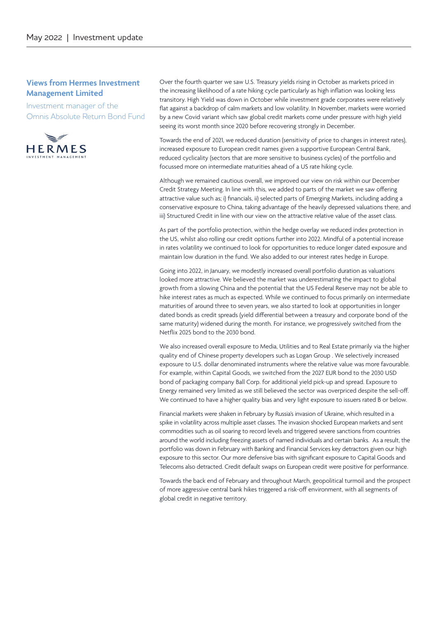### **Views from Hermes Investment Management Limited**

Investment manager of the Omnis Absolute Return Bond Fund



Over the fourth quarter we saw U.S. Treasury yields rising in October as markets priced in the increasing likelihood of a rate hiking cycle particularly as high inflation was looking less transitory. High Yield was down in October while investment grade corporates were relatively flat against a backdrop of calm markets and low volatility. In November, markets were worried by a new Covid variant which saw global credit markets come under pressure with high yield seeing its worst month since 2020 before recovering strongly in December.

Towards the end of 2021, we reduced duration (sensitivity of price to changes in interest rates), increased exposure to European credit names given a supportive European Central Bank, reduced cyclicality (sectors that are more sensitive to business cycles) of the portfolio and focussed more on intermediate maturities ahead of a US rate hiking cycle.

Although we remained cautious overall, we improved our view on risk within our December Credit Strategy Meeting. In line with this, we added to parts of the market we saw offering attractive value such as; i) financials, ii) selected parts of Emerging Markets, including adding a conservative exposure to China, taking advantage of the heavily depressed valuations there, and iii) Structured Credit in line with our view on the attractive relative value of the asset class.

As part of the portfolio protection, within the hedge overlay we reduced index protection in the US, whilst also rolling our credit options further into 2022. Mindful of a potential increase in rates volatility we continued to look for opportunities to reduce longer dated exposure and maintain low duration in the fund. We also added to our interest rates hedge in Europe.

Going into 2022, in January, we modestly increased overall portfolio duration as valuations looked more attractive. We believed the market was underestimating the impact to global growth from a slowing China and the potential that the US Federal Reserve may not be able to hike interest rates as much as expected. While we continued to focus primarily on intermediate maturities of around three to seven years, we also started to look at opportunities in longer dated bonds as credit spreads (yield differential between a treasury and corporate bond of the same maturity) widened during the month. For instance, we progressively switched from the Netflix 2025 bond to the 2030 bond.

We also increased overall exposure to Media, Utilities and to Real Estate primarily via the higher quality end of Chinese property developers such as Logan Group . We selectively increased exposure to U.S. dollar denominated instruments where the relative value was more favourable. For example, within Capital Goods, we switched from the 2027 EUR bond to the 2030 USD bond of packaging company Ball Corp. for additional yield pick-up and spread. Exposure to Energy remained very limited as we still believed the sector was overpriced despite the sell-off. We continued to have a higher quality bias and very light exposure to issuers rated B or below.

Financial markets were shaken in February by Russia's invasion of Ukraine, which resulted in a spike in volatility across multiple asset classes. The invasion shocked European markets and sent commodities such as oil soaring to record levels and triggered severe sanctions from countries around the world including freezing assets of named individuals and certain banks. As a result, the portfolio was down in February with Banking and Financial Services key detractors given our high exposure to this sector. Our more defensive bias with significant exposure to Capital Goods and Telecoms also detracted. Credit default swaps on European credit were positive for performance.

Towards the back end of February and throughout March, geopolitical turmoil and the prospect of more aggressive central bank hikes triggered a risk-off environment, with all segments of global credit in negative territory.